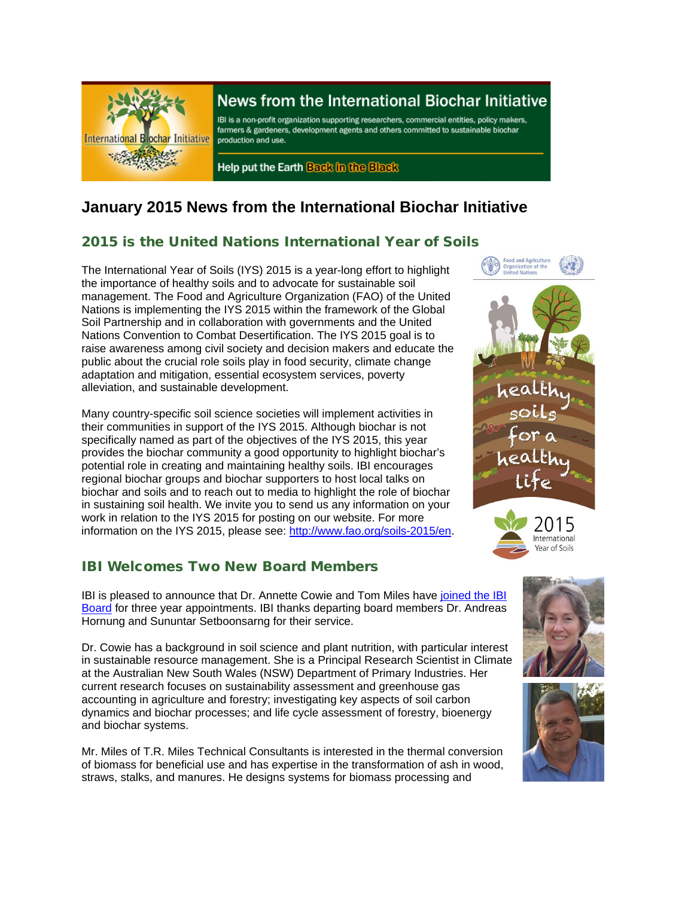

# News from the International Biochar Initiative

IBI is a non-profit organization supporting researchers, commercial entities, policy makers, farmers & gardeners, development agents and others committed to sustainable biochar production and use.

Help put the Earth Back in the Black

# **January 2015 News from the International Biochar Initiative**

# 2015 is the United Nations International Year of Soils

The International Year of Soils (IYS) 2015 is a year-long effort to highlight the importance of healthy soils and to advocate for sustainable soil management. The Food and Agriculture Organization (FAO) of the United Nations is implementing the IYS 2015 within the framework of the Global Soil Partnership and in collaboration with governments and the United Nations Convention to Combat Desertification. The IYS 2015 goal is to raise awareness among civil society and decision makers and educate the public about the crucial role soils play in food security, climate change adaptation and mitigation, essential ecosystem services, poverty alleviation, and sustainable development.

Many country-specific soil science societies will implement activities in their communities in support of the IYS 2015. Although biochar is not specifically named as part of the objectives of the IYS 2015, this year provides the biochar community a good opportunity to highlight biochar's potential role in creating and maintaining healthy soils. IBI encourages regional biochar groups and biochar supporters to host local talks on biochar and soils and to reach out to media to highlight the role of biochar in sustaining soil health. We invite you to send us any information on your work in relation to the IYS 2015 for posting on our website. For more information on the IYS 2015, please see: [http://www.fao.org/soils-2015/en.](http://www.fao.org/soils-2015/en)

### IBI Welcomes Two New Board Members

IBI is pleased to announce that Dr. Annette Cowie and Tom Miles have [joined the IBI](http://www.biochar-international.org/board/advisorycommittee)  [Board](http://www.biochar-international.org/board/advisorycommittee) for three year appointments. IBI thanks departing board members Dr. Andreas Hornung and Sununtar Setboonsarng for their service.

Dr. Cowie has a background in soil science and plant nutrition, with particular interest in sustainable resource management. She is a Principal Research Scientist in Climate at the Australian New South Wales (NSW) Department of Primary Industries. Her current research focuses on sustainability assessment and greenhouse gas accounting in agriculture and forestry; investigating key aspects of soil carbon dynamics and biochar processes; and life cycle assessment of forestry, bioenergy and biochar systems.

Mr. Miles of T.R. Miles Technical Consultants is interested in the thermal conversion of biomass for beneficial use and has expertise in the transformation of ash in wood, straws, stalks, and manures. He designs systems for biomass processing and







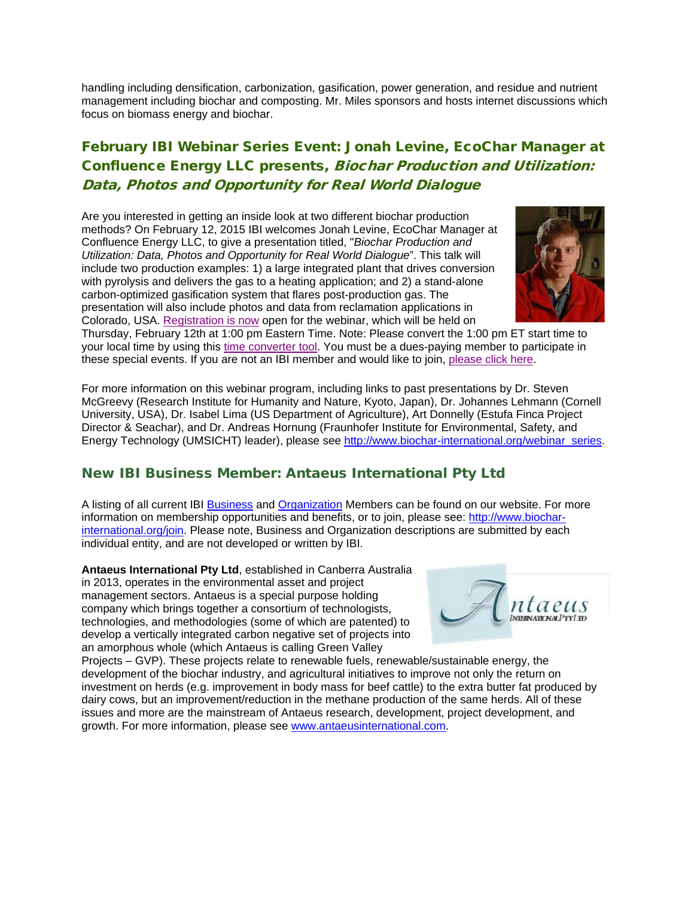handling including densification, carbonization, gasification, power generation, and residue and nutrient management including biochar and composting. Mr. Miles sponsors and hosts internet discussions which focus on biomass energy and biochar.

# February IBI Webinar Series Event: Jonah Levine, EcoChar Manager at Confluence Energy LLC presents, Biochar Production and Utilization: Data, Photos and Opportunity for Real World Dialogue

Are you interested in getting an inside look at two different biochar production methods? On February 12, 2015 IBI welcomes Jonah Levine, EcoChar Manager at Confluence Energy LLC, to give a presentation titled, "*Biochar Production and Utilization: Data, Photos and Opportunity for Real World Dialogue*". This talk will include two production examples: 1) a large integrated plant that drives conversion with pyrolysis and delivers the gas to a heating application; and 2) a stand-alone carbon-optimized gasification system that flares post-production gas. The presentation will also include photos and data from reclamation applications in Colorado, USA. [Registration is now](https://attendee.gotowebinar.com/register/5065304198137453057) open for the webinar, which will be held on



Thursday, February 12th at 1:00 pm Eastern Time. Note: Please convert the 1:00 pm ET start time to your local time by using this [time converter tool.](http://www.timeanddate.com/worldclock/converter.html) You must be a dues-paying member to participate in these special events. If you are not an IBI member and would like to join, [please click here.](http://www.biochar-international.org/join)

For more information on this webinar program, including links to past presentations by Dr. Steven McGreevy (Research Institute for Humanity and Nature, Kyoto, Japan), Dr. Johannes Lehmann (Cornell University, USA), Dr. Isabel Lima (US Department of Agriculture), Art Donnelly (Estufa Finca Project Director & Seachar), and Dr. Andreas Hornung (Fraunhofer Institute for Environmental, Safety, and Energy Technology (UMSICHT) leader), please see [http://www.biochar-international.org/webinar\\_series.](http://www.biochar-international.org/webinar_series)

### New IBI Business Member: Antaeus International Pty Ltd

A listing of all current IBI [Business](http://ibi.memberclicks.net/message/urlRedir?id=61092&recip=2037fe9e-203a-4b7f-af3c-ac8774c71cbd) and [Organization](http://ibi.memberclicks.net/message/urlRedir?id=61093&recip=2037fe9e-203a-4b7f-af3c-ac8774c71cbd) Members can be found on our website. For more information on membership opportunities and benefits, or to join, please see: [http://www.biochar](http://ibi.memberclicks.net/message/urlRedir?id=61094&recip=2037fe9e-203a-4b7f-af3c-ac8774c71cbd)[international.org/join.](http://ibi.memberclicks.net/message/urlRedir?id=61094&recip=2037fe9e-203a-4b7f-af3c-ac8774c71cbd) Please note, Business and Organization descriptions are submitted by each individual entity, and are not developed or written by IBI.

**Antaeus International Pty Ltd**, established in Canberra Australia in 2013, operates in the environmental asset and project management sectors. Antaeus is a special purpose holding company which brings together a consortium of technologists, technologies, and methodologies (some of which are patented) to develop a vertically integrated carbon negative set of projects into an amorphous whole (which Antaeus is calling Green Valley



Projects – GVP). These projects relate to renewable fuels, renewable/sustainable energy, the development of the biochar industry, and agricultural initiatives to improve not only the return on investment on herds (e.g. improvement in body mass for beef cattle) to the extra butter fat produced by dairy cows, but an improvement/reduction in the methane production of the same herds. All of these issues and more are the mainstream of Antaeus research, development, project development, and growth. For more information, please see [www.antaeusinternational.com.](http://www.antaeusinternational.com/)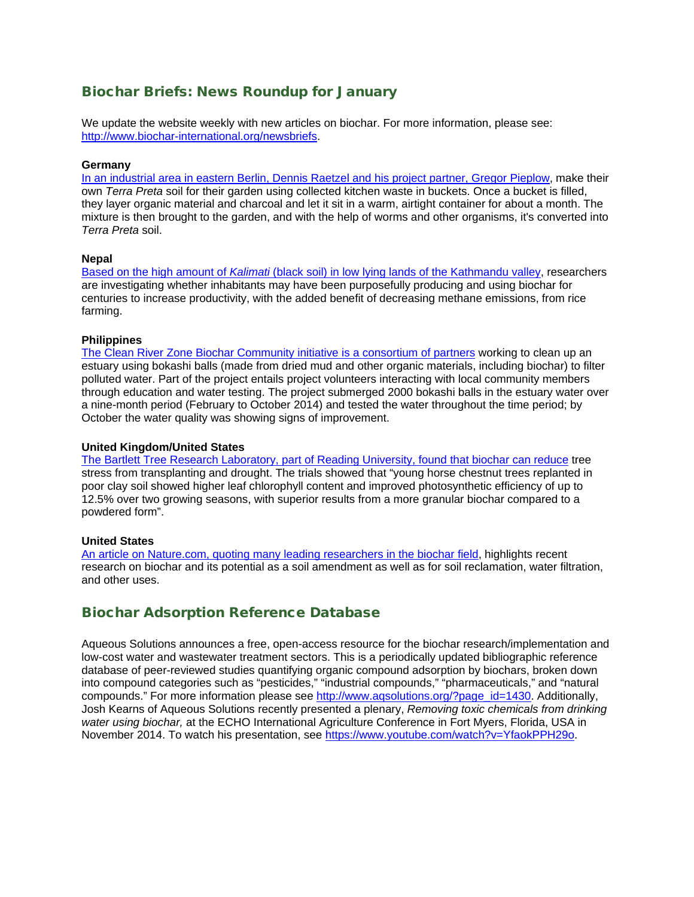### Biochar Briefs: News Roundup for January

We update the website weekly with new articles on biochar. For more information, please see: [http://www.biochar-international.org/newsbriefs.](http://ibi.memberclicks.net/message/urlRedir?id=61106&recip=2037fe9e-203a-4b7f-af3c-ac8774c71cbd)

#### **Germany**

In an industrial area in [eastern Berlin, Dennis Raetzel and his project partner, Gregor Pieplow,](http://www.dw.de/the-secret-of-black-soil/a-18199797) make their own *Terra Preta* soil for their garden using collected kitchen waste in buckets. Once a bucket is filled, they layer organic material and charcoal and let it sit in a warm, airtight container for about a month. The mixture is then brought to the garden, and with the help of worms and other organisms, it's converted into *Terra Preta* soil.

#### **Nepal**

Based on the high amount of *Kalimati* [\(black soil\) in low lying lands of the Kathmandu valley,](http://www.myrepublica.com/portal/index.php?action=news_details&news_id=89953) researchers are investigating whether inhabitants may have been purposefully producing and using biochar for centuries to increase productivity, with the added benefit of decreasing methane emissions, from rice farming.

#### **Philippines**

[The Clean River Zone Biochar Community initiative](http://manilastandardtoday.com/2015/01/03/estero-clean-up-project-in-up-community) is a consortium of partners working to clean up an estuary using bokashi balls (made from dried mud and other organic materials, including biochar) to filter polluted water. Part of the project entails project volunteers interacting with local community members through education and water testing. The project submerged 2000 bokashi balls in the estuary water over a nine-month period (February to October 2014) and tested the water throughout the time period; by October the water quality was showing signs of improvement.

#### **United Kingdom/United States**

[The Bartlett Tree Research Laboratory, part of Reading University,](http://www.hortweek.com/biochar-reduce-tree-stress-transplanting-drought-bartlett-trials-find/arboriculture/article/1329481) found that biochar can reduce tree stress from transplanting and drought. The trials showed that "young horse chestnut trees replanted in poor clay soil showed higher leaf chlorophyll content and improved photosynthetic efficiency of up to 12.5% over two growing seasons, with superior results from a more granular biochar compared to a powdered form".

#### **United States**

An [article on Nature.com, quoting many leading researchers in the biochar field,](http://www.nature.com/news/agriculture-state-of-the-art-soil-1.16699) highlights recent research on biochar and its potential as a soil amendment as well as for soil reclamation, water filtration, and other uses.

### Biochar Adsorption Reference Database

Aqueous Solutions announces a free, open-access resource for the biochar research/implementation and low-cost water and wastewater treatment sectors. This is a periodically updated bibliographic reference database of peer-reviewed studies quantifying organic compound adsorption by biochars, broken down into compound categories such as "pesticides," "industrial compounds," "pharmaceuticals," and "natural compounds." For more information please see [http://www.aqsolutions.org/?page\\_id=1430.](http://www.aqsolutions.org/?page_id=1430) Additionally, Josh Kearns of Aqueous Solutions recently presented a plenary, *Removing toxic chemicals from drinking water using biochar,* at the ECHO International Agriculture Conference in Fort Myers, Florida, USA in November 2014. To watch his presentation, see [https://www.youtube.com/watch?v=YfaokPPH29o.](https://www.youtube.com/watch?v=YfaokPPH29o)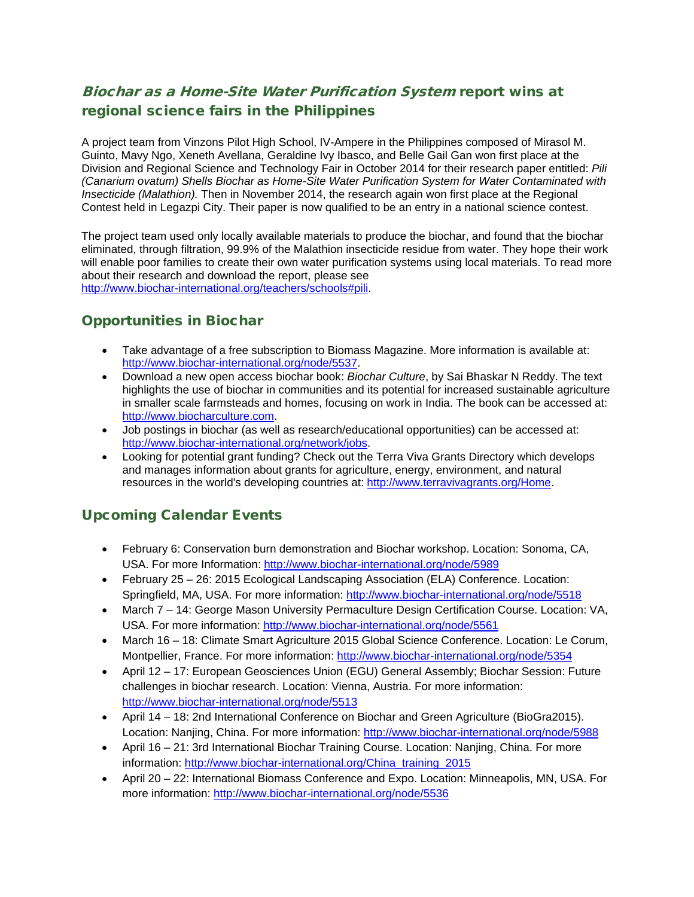# Biochar as a Home-Site Water Purification System report wins at regional science fairs in the Philippines

A project team from Vinzons Pilot High School, IV-Ampere in the Philippines composed of Mirasol M. Guinto, Mavy Ngo, Xeneth Avellana, Geraldine Ivy Ibasco, and Belle Gail Gan won first place at the Division and Regional Science and Technology Fair in October 2014 for their research paper entitled: *Pili (Canarium ovatum) Shells Biochar as Home-Site Water Purification System for Water Contaminated with Insecticide (Malathion).* Then in November 2014, the research again won first place at the Regional Contest held in Legazpi City. Their paper is now qualified to be an entry in a national science contest.

The project team used only locally available materials to produce the biochar, and found that the biochar eliminated, through filtration, 99.9% of the Malathion insecticide residue from water. They hope their work will enable poor families to create their own water purification systems using local materials. To read more about their research and download the report, please see [http://www.biochar-international.org/teachers/schools#pili.](http://www.biochar-international.org/teachers/schools%23pili)

### Opportunities in Biochar

- Take advantage of a free subscription to Biomass Magazine. More information is available at: [http://www.biochar-international.org/node/5537.](http://www.biochar-international.org/node/5537)
- Download a new open access biochar book: *Biochar Culture*, by Sai Bhaskar N Reddy. The text highlights the use of biochar in communities and its potential for increased sustainable agriculture in smaller scale farmsteads and homes, focusing on work in India. The book can be accessed at: [http://www.biocharculture.com.](http://www.biocharculture.com/)
- Job postings in biochar (as well as research/educational opportunities) can be accessed at: [http://www.biochar-international.org/network/jobs.](http://ibi.memberclicks.net/message/urlRedir?id=61120&recip=2037fe9e-203a-4b7f-af3c-ac8774c71cbd)
- Looking for potential grant funding? Check out the Terra Viva Grants Directory which develops and manages information about grants for agriculture, energy, environment, and natural resources in the world's developing countries at: [http://www.terravivagrants.org/Home.](http://www.terravivagrants.org/Home)

### Upcoming Calendar Events

- February 6: Conservation burn demonstration and Biochar workshop. Location: Sonoma, CA, USA. For more Information:<http://www.biochar-international.org/node/5989>
- February 25 26: 2015 Ecological Landscaping Association (ELA) Conference. Location: Springfield, MA, USA. For more information:<http://www.biochar-international.org/node/5518>
- March 7 14: George Mason University Permaculture Design Certification Course. Location: VA, USA. For more information:<http://www.biochar-international.org/node/5561>
- March 16 18: Climate Smart Agriculture 2015 Global Science Conference. Location: Le Corum, Montpellier, France. For more information:<http://www.biochar-international.org/node/5354>
- April 12 17: European Geosciences Union (EGU) General Assembly; Biochar Session: Future challenges in biochar research. Location: Vienna, Austria. For more information: <http://www.biochar-international.org/node/5513>
- April 14 18: 2nd International Conference on Biochar and Green Agriculture (BioGra2015). Location: Nanjing, China. For more information:<http://www.biochar-international.org/node/5988>
- April 16 21: 3rd International Biochar Training Course. Location: Nanjing, China. For more information: [http://www.biochar-international.org/China\\_training\\_2015](http://www.biochar-international.org/China_training_2015)
- April 20 22: International Biomass Conference and Expo. Location: Minneapolis, MN, USA. For more information:<http://www.biochar-international.org/node/5536>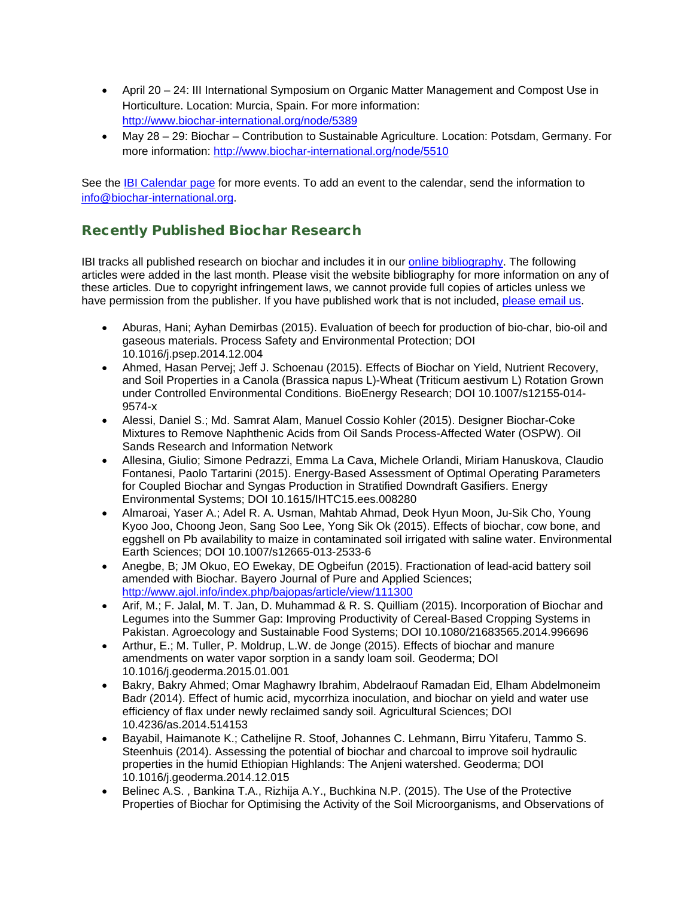- April 20 24: III International Symposium on Organic Matter Management and Compost Use in Horticulture. Location: Murcia, Spain. For more information: <http://www.biochar-international.org/node/5389>
- May 28 29: Biochar Contribution to Sustainable Agriculture. Location: Potsdam, Germany. For more information:<http://www.biochar-international.org/node/5510>

See the [IBI Calendar page](http://ibi.memberclicks.net/message/urlRedir?id=61131&recip=2037fe9e-203a-4b7f-af3c-ac8774c71cbd) for more events. To add an event to the calendar, send the information to [info@biochar-international.org.](http://ibi.memberclicks.net/message/urlRedir?id=61132&recip=2037fe9e-203a-4b7f-af3c-ac8774c71cbd)

### Recently Published Biochar Research

IBI tracks all published research on biochar and includes it in our [online bibliography.](http://ibi.memberclicks.net/message/urlRedir?id=24751&recip=be7c7021-8bab-4aa7-a274-1c95dcc834ca) The following articles were added in the last month. Please visit the website bibliography for more information on any of these articles. Due to copyright infringement laws, we cannot provide full copies of articles unless we have permission from the publisher. If you have published work that is not included, [please email us.](http://ibi.memberclicks.net/message/urlRedir?id=24748&recip=be7c7021-8bab-4aa7-a274-1c95dcc834ca)

- Aburas, Hani; Ayhan Demirbas (2015). Evaluation of beech for production of bio-char, bio-oil and gaseous materials. Process Safety and Environmental Protection; DOI 10.1016/j.psep.2014.12.004
- Ahmed, Hasan Pervej; Jeff J. Schoenau (2015). Effects of Biochar on Yield, Nutrient Recovery, and Soil Properties in a Canola (Brassica napus L)-Wheat (Triticum aestivum L) Rotation Grown under Controlled Environmental Conditions. BioEnergy Research; DOI 10.1007/s12155-014- 9574-x
- Alessi, Daniel S.; Md. Samrat Alam, Manuel Cossio Kohler (2015). Designer Biochar-Coke Mixtures to Remove Naphthenic Acids from Oil Sands Process-Affected Water (OSPW). Oil Sands Research and Information Network
- Allesina, Giulio; Simone Pedrazzi, Emma La Cava, Michele Orlandi, Miriam Hanuskova, Claudio Fontanesi, Paolo Tartarini (2015). Energy-Based Assessment of Optimal Operating Parameters for Coupled Biochar and Syngas Production in Stratified Downdraft Gasifiers. Energy Environmental Systems; DOI 10.1615/IHTC15.ees.008280
- Almaroai, Yaser A.; Adel R. A. Usman, Mahtab Ahmad, Deok Hyun Moon, Ju-Sik Cho, Young Kyoo Joo, Choong Jeon, Sang Soo Lee, Yong Sik Ok (2015). Effects of biochar, cow bone, and eggshell on Pb availability to maize in contaminated soil irrigated with saline water. Environmental Earth Sciences; DOI 10.1007/s12665-013-2533-6
- Anegbe, B; JM Okuo, EO Ewekay, DE Ogbeifun (2015). Fractionation of lead-acid battery soil amended with Biochar. Bayero Journal of Pure and Applied Sciences; <http://www.ajol.info/index.php/bajopas/article/view/111300>
- Arif, M.; F. Jalal, M. T. Jan, D. Muhammad & R. S. Quilliam (2015). Incorporation of Biochar and Legumes into the Summer Gap: Improving Productivity of Cereal-Based Cropping Systems in Pakistan. Agroecology and Sustainable Food Systems; DOI 10.1080/21683565.2014.996696
- Arthur, E.; M. Tuller, P. Moldrup, L.W. de Jonge (2015). Effects of biochar and manure amendments on water vapor sorption in a sandy loam soil. Geoderma; DOI 10.1016/j.geoderma.2015.01.001
- Bakry, Bakry Ahmed; Omar Maghawry Ibrahim, Abdelraouf Ramadan Eid, Elham Abdelmoneim Badr (2014). Effect of humic acid, mycorrhiza inoculation, and biochar on yield and water use efficiency of flax under newly reclaimed sandy soil. Agricultural Sciences; DOI 10.4236/as.2014.514153
- Bayabil, Haimanote K.; Cathelijne R. Stoof, Johannes C. Lehmann, Birru Yitaferu, Tammo S. Steenhuis (2014). Assessing the potential of biochar and charcoal to improve soil hydraulic properties in the humid Ethiopian Highlands: The Anjeni watershed. Geoderma; DOI 10.1016/j.geoderma.2014.12.015
- Belinec A.S. , Bankina T.A., Rizhija A.Y., Buchkina N.P. (2015). The Use of the Protective Properties of Biochar for Optimising the Activity of the Soil Microorganisms, and Observations of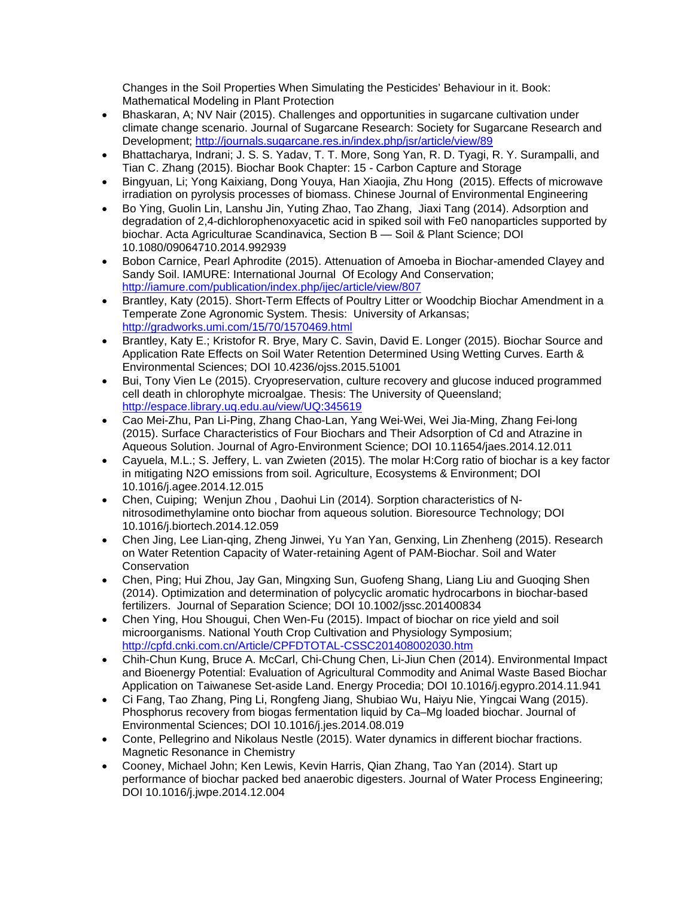Changes in the Soil Properties When Simulating the Pesticides' Behaviour in it. Book: Mathematical Modeling in Plant Protection

- Bhaskaran, A; NV Nair (2015). Challenges and opportunities in sugarcane cultivation under climate change scenario. Journal of Sugarcane Research: Society for Sugarcane Research and Development;<http://journals.sugarcane.res.in/index.php/jsr/article/view/89>
- Bhattacharya, Indrani; J. S. S. Yadav, T. T. More, Song Yan, R. D. Tyagi, R. Y. Surampalli, and Tian C. Zhang (2015). Biochar Book Chapter: 15 - Carbon Capture and Storage
- Bingyuan, Li; Yong Kaixiang, Dong Youya, Han Xiaojia, Zhu Hong (2015). Effects of microwave irradiation on pyrolysis processes of biomass. Chinese Journal of Environmental Engineering
- Bo Ying, Guolin Lin, Lanshu Jin, Yuting Zhao, Tao Zhang, Jiaxi Tang (2014). Adsorption and degradation of 2,4-dichlorophenoxyacetic acid in spiked soil with Fe0 nanoparticles supported by biochar. Acta Agriculturae Scandinavica, Section B — Soil & Plant Science; DOI 10.1080/09064710.2014.992939
- Bobon Carnice, Pearl Aphrodite (2015). Attenuation of Amoeba in Biochar-amended Clayey and Sandy Soil. IAMURE: International Journal Of Ecology And Conservation; <http://iamure.com/publication/index.php/ijec/article/view/807>
- Brantley, Katy (2015). Short-Term Effects of Poultry Litter or Woodchip Biochar Amendment in a Temperate Zone Agronomic System. Thesis: University of Arkansas; <http://gradworks.umi.com/15/70/1570469.html>
- Brantley, Katy E.; Kristofor R. Brye, Mary C. Savin, David E. Longer (2015). Biochar Source and Application Rate Effects on Soil Water Retention Determined Using Wetting Curves. Earth & Environmental Sciences; DOI 10.4236/ojss.2015.51001
- Bui, Tony Vien Le (2015). Cryopreservation, culture recovery and glucose induced programmed cell death in chlorophyte microalgae. Thesis: The University of Queensland; <http://espace.library.uq.edu.au/view/UQ:345619>
- Cao Mei-Zhu, Pan Li-Ping, Zhang Chao-Lan, Yang Wei-Wei, Wei Jia-Ming, Zhang Fei-long (2015). Surface Characteristics of Four Biochars and Their Adsorption of Cd and Atrazine in Aqueous Solution. Journal of Agro-Environment Science; DOI 10.11654/jaes.2014.12.011
- Cayuela, M.L.; S. Jeffery, L. van Zwieten (2015). The molar H:Corg ratio of biochar is a key factor in mitigating N2O emissions from soil. Agriculture, Ecosystems & Environment; DOI 10.1016/j.agee.2014.12.015
- Chen, Cuiping; Wenjun Zhou , Daohui Lin (2014). Sorption characteristics of Nnitrosodimethylamine onto biochar from aqueous solution. Bioresource Technology; DOI 10.1016/j.biortech.2014.12.059
- Chen Jing, Lee Lian-qing, Zheng Jinwei, Yu Yan Yan, Genxing, Lin Zhenheng (2015). Research on Water Retention Capacity of Water-retaining Agent of PAM-Biochar. Soil and Water **Conservation**
- Chen, Ping; Hui Zhou, Jay Gan, Mingxing Sun, Guofeng Shang, Liang Liu and Guoqing Shen (2014). Optimization and determination of polycyclic aromatic hydrocarbons in biochar-based fertilizers. Journal of Separation Science; DOI 10.1002/jssc.201400834
- Chen Ying, Hou Shougui, Chen Wen-Fu (2015). Impact of biochar on rice yield and soil microorganisms. National Youth Crop Cultivation and Physiology Symposium; <http://cpfd.cnki.com.cn/Article/CPFDTOTAL-CSSC201408002030.htm>
- Chih-Chun Kung, Bruce A. McCarl, Chi-Chung Chen, Li-Jiun Chen (2014). Environmental Impact and Bioenergy Potential: Evaluation of Agricultural Commodity and Animal Waste Based Biochar Application on Taiwanese Set-aside Land. Energy Procedia; DOI 10.1016/j.egypro.2014.11.941
- Ci Fang, Tao Zhang, Ping Li, Rongfeng Jiang, Shubiao Wu, Haiyu Nie, Yingcai Wang (2015). Phosphorus recovery from biogas fermentation liquid by Ca–Mg loaded biochar. Journal of Environmental Sciences; DOI 10.1016/j.jes.2014.08.019
- Conte, Pellegrino and Nikolaus Nestle (2015). Water dynamics in different biochar fractions. Magnetic Resonance in Chemistry
- Cooney, Michael John; Ken Lewis, Kevin Harris, Qian Zhang, Tao Yan (2014). Start up performance of biochar packed bed anaerobic digesters. Journal of Water Process Engineering; DOI 10.1016/j.jwpe.2014.12.004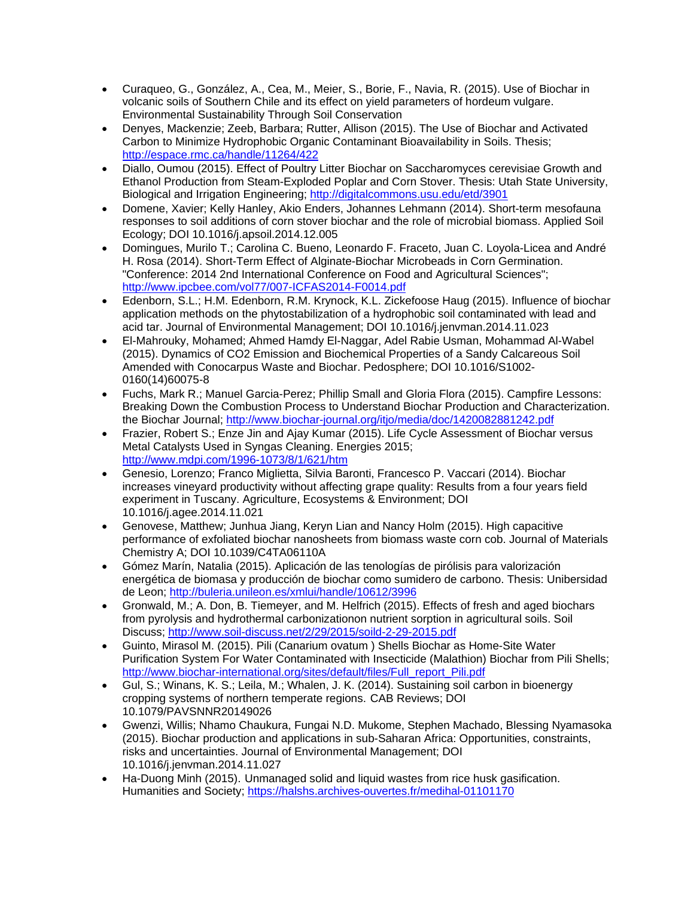- Curaqueo, G., González, A., Cea, M., Meier, S., Borie, F., Navia, R. (2015). Use of Biochar in volcanic soils of Southern Chile and its effect on yield parameters of hordeum vulgare. Environmental Sustainability Through Soil Conservation
- Denyes, Mackenzie; Zeeb, Barbara; Rutter, Allison (2015). The Use of Biochar and Activated Carbon to Minimize Hydrophobic Organic Contaminant Bioavailability in Soils. Thesis; <http://espace.rmc.ca/handle/11264/422>
- Diallo, Oumou (2015). Effect of Poultry Litter Biochar on Saccharomyces cerevisiae Growth and Ethanol Production from Steam-Exploded Poplar and Corn Stover. Thesis: Utah State University, Biological and Irrigation Engineering;<http://digitalcommons.usu.edu/etd/3901>
- Domene, Xavier; Kelly Hanley, Akio Enders, Johannes Lehmann (2014). Short-term mesofauna responses to soil additions of corn stover biochar and the role of microbial biomass. Applied Soil Ecology; DOI 10.1016/j.apsoil.2014.12.005
- Domingues, Murilo T.; Carolina C. Bueno, Leonardo F. Fraceto, Juan C. Loyola-Licea and André H. Rosa (2014). Short-Term Effect of Alginate-Biochar Microbeads in Corn Germination. "Conference: 2014 2nd International Conference on Food and Agricultural Sciences"; <http://www.ipcbee.com/vol77/007-ICFAS2014-F0014.pdf>
- Edenborn, S.L.; H.M. Edenborn, R.M. Krynock, K.L. Zickefoose Haug (2015). Influence of biochar application methods on the phytostabilization of a hydrophobic soil contaminated with lead and acid tar. Journal of Environmental Management; DOI 10.1016/j.jenvman.2014.11.023
- El-Mahrouky, Mohamed; Ahmed Hamdy El-Naggar, Adel Rabie Usman, Mohammad Al-Wabel (2015). Dynamics of CO2 Emission and Biochemical Properties of a Sandy Calcareous Soil Amended with Conocarpus Waste and Biochar. Pedosphere; DOI 10.1016/S1002- 0160(14)60075-8
- Fuchs, Mark R.; Manuel Garcia-Perez; Phillip Small and Gloria Flora (2015). Campfire Lessons: Breaking Down the Combustion Process to Understand Biochar Production and Characterization. the Biochar Journal;<http://www.biochar-journal.org/itjo/media/doc/1420082881242.pdf>
- Frazier, Robert S.; Enze Jin and Ajay Kumar (2015). Life Cycle Assessment of Biochar versus Metal Catalysts Used in Syngas Cleaning. Energies 2015; <http://www.mdpi.com/1996-1073/8/1/621/htm>
- Genesio, Lorenzo; Franco Miglietta, Silvia Baronti, Francesco P. Vaccari (2014). Biochar increases vineyard productivity without affecting grape quality: Results from a four years field experiment in Tuscany. Agriculture, Ecosystems & Environment; DOI 10.1016/j.agee.2014.11.021
- Genovese, Matthew; Junhua Jiang, Keryn Lian and Nancy Holm (2015). High capacitive performance of exfoliated biochar nanosheets from biomass waste corn cob. Journal of Materials Chemistry A; DOI 10.1039/C4TA06110A
- Gómez Marín, Natalia (2015). Aplicación de las tenologías de pirólisis para valorización energética de biomasa y producción de biochar como sumidero de carbono. Thesis: Unibersidad de Leon;<http://buleria.unileon.es/xmlui/handle/10612/3996>
- Gronwald, M.; A. Don, B. Tiemeyer, and M. Helfrich (2015). Effects of fresh and aged biochars from pyrolysis and hydrothermal carbonizationon nutrient sorption in agricultural soils. Soil Discuss;<http://www.soil-discuss.net/2/29/2015/soild-2-29-2015.pdf>
- Guinto, Mirasol M. (2015). Pili (Canarium ovatum ) Shells Biochar as Home-Site Water Purification System For Water Contaminated with Insecticide (Malathion) Biochar from Pili Shells; [http://www.biochar-international.org/sites/default/files/Full\\_report\\_Pili.pdf](http://www.biochar-international.org/sites/default/files/Full_report_Pili.pdf)
- Gul, S.; Winans, K. S.; Leila, M.; Whalen, J. K. (2014). Sustaining soil carbon in bioenergy cropping systems of northern temperate regions. CAB Reviews; DOI 10.1079/PAVSNNR20149026
- Gwenzi, Willis; Nhamo Chaukura, Fungai N.D. Mukome, Stephen Machado, Blessing Nyamasoka (2015). Biochar production and applications in sub-Saharan Africa: Opportunities, constraints, risks and uncertainties. Journal of Environmental Management; DOI 10.1016/j.jenvman.2014.11.027
- Ha-Duong Minh (2015). Unmanaged solid and liquid wastes from rice husk gasification. Humanities and Society;<https://halshs.archives-ouvertes.fr/medihal-01101170>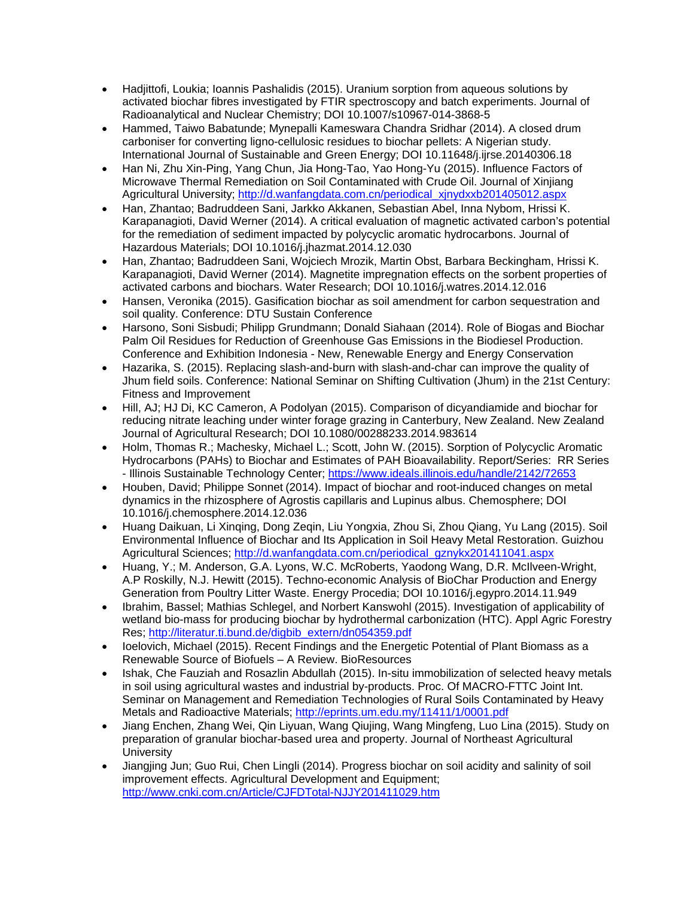- Hadjittofi, Loukia; Ioannis Pashalidis (2015). Uranium sorption from aqueous solutions by activated biochar fibres investigated by FTIR spectroscopy and batch experiments. Journal of Radioanalytical and Nuclear Chemistry; DOI 10.1007/s10967-014-3868-5
- Hammed, Taiwo Babatunde; Mynepalli Kameswara Chandra Sridhar (2014). A closed drum carboniser for converting ligno-cellulosic residues to biochar pellets: A Nigerian study. International Journal of Sustainable and Green Energy; DOI 10.11648/j.ijrse.20140306.18
- Han Ni, Zhu Xin-Ping, Yang Chun, Jia Hong-Tao, Yao Hong-Yu (2015). Influence Factors of Microwave Thermal Remediation on Soil Contaminated with Crude Oil. Journal of Xinjiang Agricultural University; [http://d.wanfangdata.com.cn/periodical\\_xjnydxxb201405012.aspx](http://d.wanfangdata.com.cn/periodical_xjnydxxb201405012.aspx)
- Han, Zhantao; Badruddeen Sani, Jarkko Akkanen, Sebastian Abel, Inna Nybom, Hrissi K. Karapanagioti, David Werner (2014). A critical evaluation of magnetic activated carbon's potential for the remediation of sediment impacted by polycyclic aromatic hydrocarbons. Journal of Hazardous Materials; DOI 10.1016/j.jhazmat.2014.12.030
- Han, Zhantao; Badruddeen Sani, Wojciech Mrozik, Martin Obst, Barbara Beckingham, Hrissi K. Karapanagioti, David Werner (2014). Magnetite impregnation effects on the sorbent properties of activated carbons and biochars. Water Research; DOI 10.1016/j.watres.2014.12.016
- Hansen, Veronika (2015). Gasification biochar as soil amendment for carbon sequestration and soil quality. Conference: DTU Sustain Conference
- Harsono, Soni Sisbudi; Philipp Grundmann; Donald Siahaan (2014). Role of Biogas and Biochar Palm Oil Residues for Reduction of Greenhouse Gas Emissions in the Biodiesel Production. Conference and Exhibition Indonesia - New, Renewable Energy and Energy Conservation
- Hazarika, S. (2015). Replacing slash-and-burn with slash-and-char can improve the quality of Jhum field soils. Conference: National Seminar on Shifting Cultivation (Jhum) in the 21st Century: Fitness and Improvement
- Hill, AJ; HJ Di, KC Cameron, A Podolyan (2015). Comparison of dicyandiamide and biochar for reducing nitrate leaching under winter forage grazing in Canterbury, New Zealand. New Zealand Journal of Agricultural Research; DOI 10.1080/00288233.2014.983614
- Holm, Thomas R.; Machesky, Michael L.; Scott, John W. (2015). Sorption of Polycyclic Aromatic Hydrocarbons (PAHs) to Biochar and Estimates of PAH Bioavailability. Report/Series: RR Series - Illinois Sustainable Technology Center;<https://www.ideals.illinois.edu/handle/2142/72653>
- Houben, David; Philippe Sonnet (2014). Impact of biochar and root-induced changes on metal dynamics in the rhizosphere of Agrostis capillaris and Lupinus albus. Chemosphere; DOI 10.1016/j.chemosphere.2014.12.036
- Huang Daikuan, Li Xinqing, Dong Zeqin, Liu Yongxia, Zhou Si, Zhou Qiang, Yu Lang (2015). Soil Environmental Influence of Biochar and Its Application in Soil Heavy Metal Restoration. Guizhou Agricultural Sciences; [http://d.wanfangdata.com.cn/periodical\\_gznykx201411041.aspx](http://d.wanfangdata.com.cn/periodical_gznykx201411041.aspx)
- Huang, Y.; M. Anderson, G.A. Lyons, W.C. McRoberts, Yaodong Wang, D.R. McIlveen-Wright, A.P Roskilly, N.J. Hewitt (2015). Techno-economic Analysis of BioChar Production and Energy Generation from Poultry Litter Waste. Energy Procedia; DOI 10.1016/j.egypro.2014.11.949
- Ibrahim, Bassel; Mathias Schlegel, and Norbert Kanswohl (2015). Investigation of applicability of wetland bio-mass for producing biochar by hydrothermal carbonization (HTC). Appl Agric Forestry Res; [http://literatur.ti.bund.de/digbib\\_extern/dn054359.pdf](http://literatur.ti.bund.de/digbib_extern/dn054359.pdf)
- Ioelovich, Michael (2015). Recent Findings and the Energetic Potential of Plant Biomass as a Renewable Source of Biofuels – A Review. BioResources
- Ishak, Che Fauziah and Rosazlin Abdullah (2015). In-situ immobilization of selected heavy metals in soil using agricultural wastes and industrial by-products. Proc. Of MACRO-FTTC Joint Int. Seminar on Management and Remediation Technologies of Rural Soils Contaminated by Heavy Metals and Radioactive Materials;<http://eprints.um.edu.my/11411/1/0001.pdf>
- Jiang Enchen, Zhang Wei, Qin Liyuan, Wang Qiujing, Wang Mingfeng, Luo Lina (2015). Study on preparation of granular biochar-based urea and property. Journal of Northeast Agricultural **University**
- Jiangjing Jun; Guo Rui, Chen Lingli (2014). Progress biochar on soil acidity and salinity of soil improvement effects. Agricultural Development and Equipment; <http://www.cnki.com.cn/Article/CJFDTotal-NJJY201411029.htm>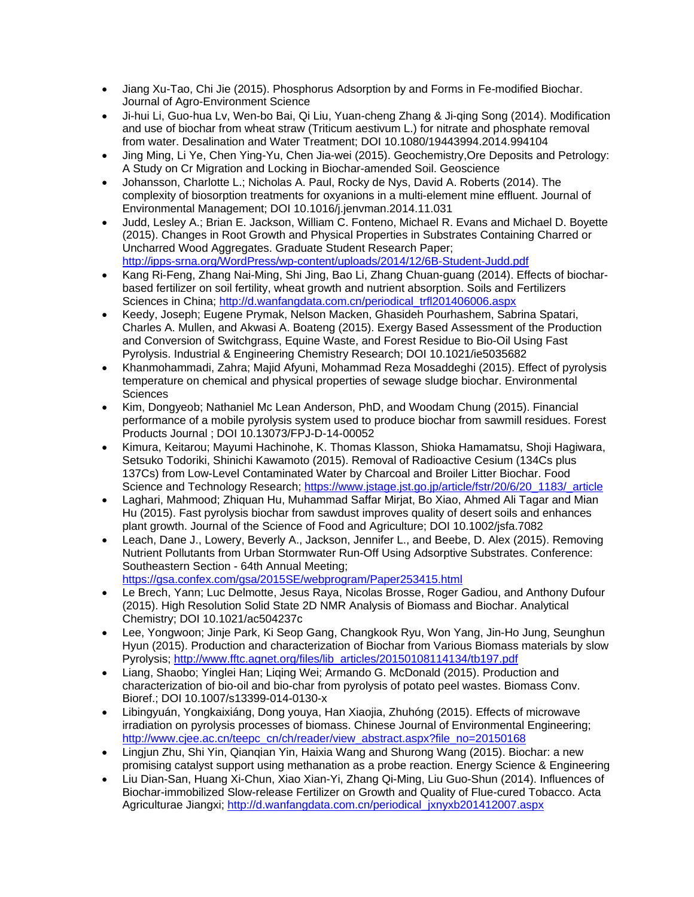- Jiang Xu-Tao, Chi Jie (2015). Phosphorus Adsorption by and Forms in Fe-modified Biochar. Journal of Agro-Environment Science
- Ji-hui Li, Guo-hua Lv, Wen-bo Bai, Qi Liu, Yuan-cheng Zhang & Ji-qing Song (2014). Modification and use of biochar from wheat straw (Triticum aestivum L.) for nitrate and phosphate removal from water. Desalination and Water Treatment; DOI 10.1080/19443994.2014.994104
- Jing Ming, Li Ye, Chen Ying-Yu, Chen Jia-wei (2015). Geochemistry,Ore Deposits and Petrology: A Study on Cr Migration and Locking in Biochar-amended Soil. Geoscience
- Johansson, Charlotte L.; Nicholas A. Paul, Rocky de Nys, David A. Roberts (2014). The complexity of biosorption treatments for oxyanions in a multi-element mine effluent. Journal of Environmental Management; DOI 10.1016/j.jenvman.2014.11.031
- Judd, Lesley A.; Brian E. Jackson, William C. Fonteno, Michael R. Evans and Michael D. Boyette (2015). Changes in Root Growth and Physical Properties in Substrates Containing Charred or Uncharred Wood Aggregates. Graduate Student Research Paper; <http://ipps-srna.org/WordPress/wp-content/uploads/2014/12/6B-Student-Judd.pdf>
- Kang Ri-Feng, Zhang Nai-Ming, Shi Jing, Bao Li, Zhang Chuan-guang (2014). Effects of biocharbased fertilizer on soil fertility, wheat growth and nutrient absorption. Soils and Fertilizers Sciences in China; [http://d.wanfangdata.com.cn/periodical\\_trfl201406006.aspx](http://d.wanfangdata.com.cn/periodical_trfl201406006.aspx)
- Keedy, Joseph; Eugene Prymak, Nelson Macken, Ghasideh Pourhashem, Sabrina Spatari, Charles A. Mullen, and Akwasi A. Boateng (2015). Exergy Based Assessment of the Production and Conversion of Switchgrass, Equine Waste, and Forest Residue to Bio-Oil Using Fast Pyrolysis. Industrial & Engineering Chemistry Research; DOI 10.1021/ie5035682
- Khanmohammadi, Zahra; Majid Afyuni, Mohammad Reza Mosaddeghi (2015). Effect of pyrolysis temperature on chemical and physical properties of sewage sludge biochar. Environmental **Sciences**
- Kim, Dongyeob; Nathaniel Mc Lean Anderson, PhD, and Woodam Chung (2015). Financial performance of a mobile pyrolysis system used to produce biochar from sawmill residues. Forest Products Journal ; DOI 10.13073/FPJ-D-14-00052
- Kimura, Keitarou; Mayumi Hachinohe, K. Thomas Klasson, Shioka Hamamatsu, Shoji Hagiwara, Setsuko Todoriki, Shinichi Kawamoto (2015). Removal of Radioactive Cesium (134Cs plus 137Cs) from Low-Level Contaminated Water by Charcoal and Broiler Litter Biochar. Food Science and Technology Research; [https://www.jstage.jst.go.jp/article/fstr/20/6/20\\_1183/\\_article](https://www.jstage.jst.go.jp/article/fstr/20/6/20_1183/_article)
- Laghari, Mahmood; Zhiquan Hu, Muhammad Saffar Mirjat, Bo Xiao, Ahmed Ali Tagar and Mian Hu (2015). Fast pyrolysis biochar from sawdust improves quality of desert soils and enhances plant growth. Journal of the Science of Food and Agriculture; DOI 10.1002/jsfa.7082
- Leach, Dane J., Lowery, Beverly A., Jackson, Jennifer L., and Beebe, D. Alex (2015). Removing Nutrient Pollutants from Urban Stormwater Run-Off Using Adsorptive Substrates. Conference: Southeastern Section - 64th Annual Meeting; <https://gsa.confex.com/gsa/2015SE/webprogram/Paper253415.html>
- Le Brech, Yann; Luc Delmotte, Jesus Raya, Nicolas Brosse, Roger Gadiou, and Anthony Dufour (2015). High Resolution Solid State 2D NMR Analysis of Biomass and Biochar. Analytical Chemistry; DOI 10.1021/ac504237c
- Lee, Yongwoon; Jinje Park, Ki Seop Gang, Changkook Ryu, Won Yang, Jin-Ho Jung, Seunghun Hyun (2015). Production and characterization of Biochar from Various Biomass materials by slow Pyrolysis; [http://www.fftc.agnet.org/files/lib\\_articles/20150108114134/tb197.pdf](http://www.fftc.agnet.org/files/lib_articles/20150108114134/tb197.pdf)
- Liang, Shaobo; Yinglei Han; Liqing Wei; Armando G. McDonald (2015). Production and characterization of bio-oil and bio-char from pyrolysis of potato peel wastes. Biomass Conv. Bioref.; DOI 10.1007/s13399-014-0130-x
- Libingyuán, Yongkaixiáng, Dong youya, Han Xiaojia, Zhuhóng (2015). Effects of microwave irradiation on pyrolysis processes of biomass. Chinese Journal of Environmental Engineering; [http://www.cjee.ac.cn/teepc\\_cn/ch/reader/view\\_abstract.aspx?file\\_no=20150168](http://www.cjee.ac.cn/teepc_cn/ch/reader/view_abstract.aspx?file_no=20150168)
- Lingjun Zhu, Shi Yin, Qianqian Yin, Haixia Wang and Shurong Wang (2015). Biochar: a new promising catalyst support using methanation as a probe reaction. Energy Science & Engineering
- Liu Dian-San, Huang Xi-Chun, Xiao Xian-Yi, Zhang Qi-Ming, Liu Guo-Shun (2014). Influences of Biochar-immobilized Slow-release Fertilizer on Growth and Quality of Flue-cured Tobacco. Acta Agriculturae Jiangxi; [http://d.wanfangdata.com.cn/periodical\\_jxnyxb201412007.aspx](http://d.wanfangdata.com.cn/periodical_jxnyxb201412007.aspx)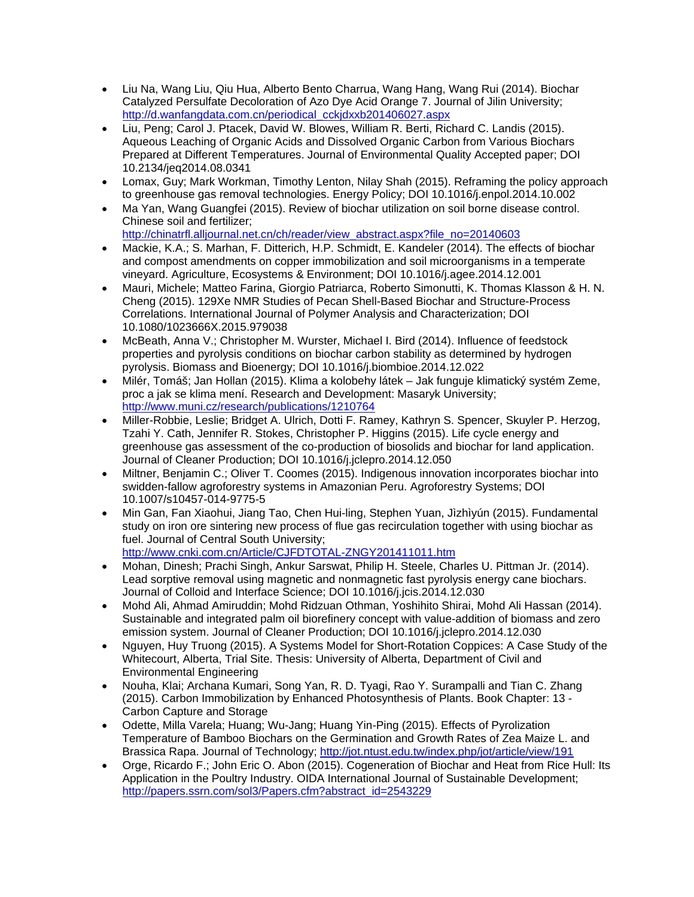- Liu Na, Wang Liu, Qiu Hua, Alberto Bento Charrua, Wang Hang, Wang Rui (2014). Biochar Catalyzed Persulfate Decoloration of Azo Dye Acid Orange 7. Journal of Jilin University; [http://d.wanfangdata.com.cn/periodical\\_cckjdxxb201406027.aspx](http://d.wanfangdata.com.cn/periodical_cckjdxxb201406027.aspx)
- Liu, Peng; Carol J. Ptacek, David W. Blowes, William R. Berti, Richard C. Landis (2015). Aqueous Leaching of Organic Acids and Dissolved Organic Carbon from Various Biochars Prepared at Different Temperatures. Journal of Environmental Quality Accepted paper; DOI 10.2134/jeq2014.08.0341
- Lomax, Guy; Mark Workman, Timothy Lenton, Nilay Shah (2015). Reframing the policy approach to greenhouse gas removal technologies. Energy Policy; DOI 10.1016/j.enpol.2014.10.002
- Ma Yan, Wang Guangfei (2015). Review of biochar utilization on soil borne disease control. Chinese soil and fertilizer;
- [http://chinatrfl.alljournal.net.cn/ch/reader/view\\_abstract.aspx?file\\_no=20140603](http://chinatrfl.alljournal.net.cn/ch/reader/view_abstract.aspx?file_no=20140603)
- Mackie, K.A.; S. Marhan, F. Ditterich, H.P. Schmidt, E. Kandeler (2014). The effects of biochar and compost amendments on copper immobilization and soil microorganisms in a temperate vineyard. Agriculture, Ecosystems & Environment; DOI 10.1016/j.agee.2014.12.001
- Mauri, Michele; Matteo Farina, Giorgio Patriarca, Roberto Simonutti, K. Thomas Klasson & H. N. Cheng (2015). 129Xe NMR Studies of Pecan Shell-Based Biochar and Structure-Process Correlations. International Journal of Polymer Analysis and Characterization; DOI 10.1080/1023666X.2015.979038
- McBeath, Anna V.; Christopher M. Wurster, Michael I. Bird (2014). Influence of feedstock properties and pyrolysis conditions on biochar carbon stability as determined by hydrogen pyrolysis. Biomass and Bioenergy; DOI 10.1016/j.biombioe.2014.12.022
- Milér, Tomáš; Jan Hollan (2015). Klima a kolobehy látek Jak funguje klimatický systém Zeme, proc a jak se klima mení. Research and Development: Masaryk University; <http://www.muni.cz/research/publications/1210764>
- Miller-Robbie, Leslie; Bridget A. Ulrich, Dotti F. Ramey, Kathryn S. Spencer, Skuyler P. Herzog, Tzahi Y. Cath, Jennifer R. Stokes, Christopher P. Higgins (2015). Life cycle energy and greenhouse gas assessment of the co-production of biosolids and biochar for land application. Journal of Cleaner Production; DOI 10.1016/j.jclepro.2014.12.050
- Miltner, Benjamin C.; Oliver T. Coomes (2015). Indigenous innovation incorporates biochar into swidden-fallow agroforestry systems in Amazonian Peru. Agroforestry Systems; DOI 10.1007/s10457-014-9775-5
- Min Gan, Fan Xiaohui, Jiang Tao, Chen Hui-ling, Stephen Yuan, Jìzhìyún (2015). Fundamental study on iron ore sintering new process of flue gas recirculation together with using biochar as fuel. Journal of Central South University; <http://www.cnki.com.cn/Article/CJFDTOTAL-ZNGY201411011.htm>
- Mohan, Dinesh; Prachi Singh, Ankur Sarswat, Philip H. Steele, Charles U. Pittman Jr. (2014). Lead sorptive removal using magnetic and nonmagnetic fast pyrolysis energy cane biochars. Journal of Colloid and Interface Science; DOI 10.1016/j.jcis.2014.12.030
- Mohd Ali, Ahmad Amiruddin; Mohd Ridzuan Othman, Yoshihito Shirai, Mohd Ali Hassan (2014). Sustainable and integrated palm oil biorefinery concept with value-addition of biomass and zero emission system. Journal of Cleaner Production; DOI 10.1016/j.jclepro.2014.12.030
- Nguyen, Huy Truong (2015). A Systems Model for Short-Rotation Coppices: A Case Study of the Whitecourt, Alberta, Trial Site. Thesis: University of Alberta, Department of Civil and Environmental Engineering
- Nouha, Klai; Archana Kumari, Song Yan, R. D. Tyagi, Rao Y. Surampalli and Tian C. Zhang (2015). Carbon Immobilization by Enhanced Photosynthesis of Plants. Book Chapter: 13 - Carbon Capture and Storage
- Odette, Milla Varela; Huang; Wu-Jang; Huang Yin-Ping (2015). Effects of Pyrolization Temperature of Bamboo Biochars on the Germination and Growth Rates of Zea Maize L. and Brassica Rapa. Journal of Technology;<http://jot.ntust.edu.tw/index.php/jot/article/view/191>
- Orge, Ricardo F.; John Eric O. Abon (2015). Cogeneration of Biochar and Heat from Rice Hull: Its Application in the Poultry Industry. OIDA International Journal of Sustainable Development; [http://papers.ssrn.com/sol3/Papers.cfm?abstract\\_id=2543229](http://papers.ssrn.com/sol3/Papers.cfm?abstract_id=2543229)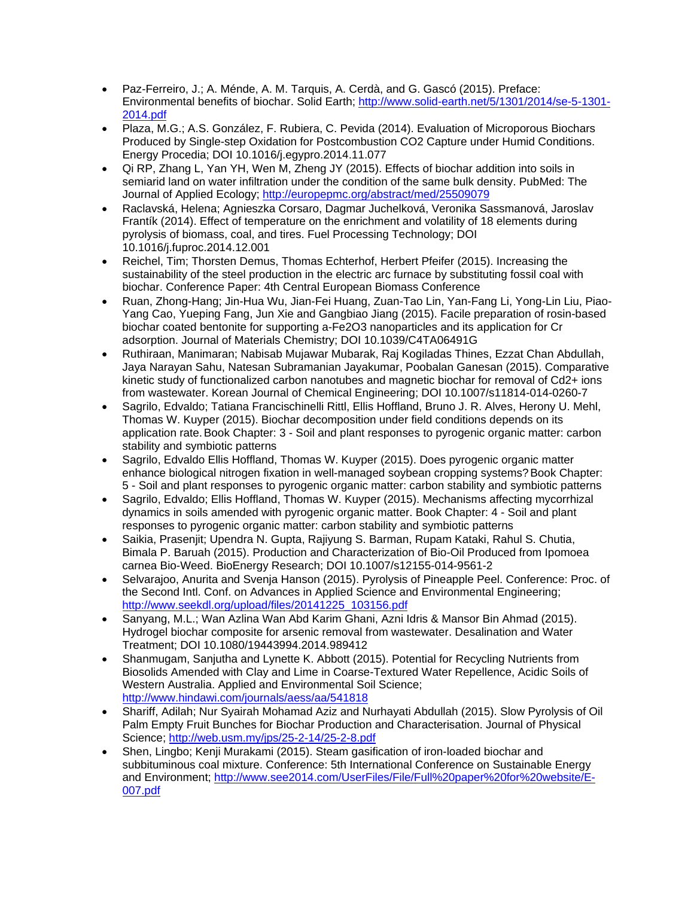- Paz-Ferreiro, J.; A. Ménde, A. M. Tarquis, A. Cerdà, and G. Gascó (2015). Preface: Environmental benefits of biochar. Solid Earth; [http://www.solid-earth.net/5/1301/2014/se-5-1301-](http://www.solid-earth.net/5/1301/2014/se-5-1301-2014.pdf) [2014.pdf](http://www.solid-earth.net/5/1301/2014/se-5-1301-2014.pdf)
- Plaza, M.G.; A.S. González, F. Rubiera, C. Pevida (2014). Evaluation of Microporous Biochars Produced by Single-step Oxidation for Postcombustion CO2 Capture under Humid Conditions. Energy Procedia; DOI 10.1016/j.egypro.2014.11.077
- Qi RP, Zhang L, Yan YH, Wen M, Zheng JY (2015). Effects of biochar addition into soils in semiarid land on water infiltration under the condition of the same bulk density. PubMed: The Journal of Applied Ecology;<http://europepmc.org/abstract/med/25509079>
- Raclavská, Helena; Agnieszka Corsaro, Dagmar Juchelková, Veronika Sassmanová, Jaroslav Frantík (2014). Effect of temperature on the enrichment and volatility of 18 elements during pyrolysis of biomass, coal, and tires. Fuel Processing Technology; DOI 10.1016/j.fuproc.2014.12.001
- Reichel, Tim; Thorsten Demus, Thomas Echterhof, Herbert Pfeifer (2015). Increasing the sustainability of the steel production in the electric arc furnace by substituting fossil coal with biochar. Conference Paper: 4th Central European Biomass Conference
- Ruan, Zhong-Hang; Jin-Hua Wu, Jian-Fei Huang, Zuan-Tao Lin, Yan-Fang Li, Yong-Lin Liu, Piao-Yang Cao, Yueping Fang, Jun Xie and Gangbiao Jiang (2015). Facile preparation of rosin-based biochar coated bentonite for supporting a-Fe2O3 nanoparticles and its application for Cr adsorption. Journal of Materials Chemistry; DOI 10.1039/C4TA06491G
- Ruthiraan, Manimaran; Nabisab Mujawar Mubarak, Raj Kogiladas Thines, Ezzat Chan Abdullah, Jaya Narayan Sahu, Natesan Subramanian Jayakumar, Poobalan Ganesan (2015). Comparative kinetic study of functionalized carbon nanotubes and magnetic biochar for removal of Cd2+ ions from wastewater. Korean Journal of Chemical Engineering; DOI 10.1007/s11814-014-0260-7
- Sagrilo, Edvaldo; Tatiana Francischinelli Rittl, Ellis Hoffland, Bruno J. R. Alves, Herony U. Mehl, Thomas W. Kuyper (2015). Biochar decomposition under field conditions depends on its application rate.Book Chapter: 3 - Soil and plant responses to pyrogenic organic matter: carbon stability and symbiotic patterns
- Sagrilo, Edvaldo Ellis Hoffland, Thomas W. Kuyper (2015). Does pyrogenic organic matter enhance biological nitrogen fixation in well-managed soybean cropping systems? Book Chapter: 5 - Soil and plant responses to pyrogenic organic matter: carbon stability and symbiotic patterns
- Sagrilo, Edvaldo; Ellis Hoffland, Thomas W. Kuyper (2015). Mechanisms affecting mycorrhizal dynamics in soils amended with pyrogenic organic matter. Book Chapter: 4 - Soil and plant responses to pyrogenic organic matter: carbon stability and symbiotic patterns
- Saikia, Prasenjit; Upendra N. Gupta, Rajiyung S. Barman, Rupam Kataki, Rahul S. Chutia, Bimala P. Baruah (2015). Production and Characterization of Bio-Oil Produced from Ipomoea carnea Bio-Weed. BioEnergy Research; DOI 10.1007/s12155-014-9561-2
- Selvarajoo, Anurita and Svenja Hanson (2015). Pyrolysis of Pineapple Peel. Conference: Proc. of the Second Intl. Conf. on Advances in Applied Science and Environmental Engineering; [http://www.seekdl.org/upload/files/20141225\\_103156.pdf](http://www.seekdl.org/upload/files/20141225_103156.pdf)
- Sanyang, M.L.; Wan Azlina Wan Abd Karim Ghani, Azni Idris & Mansor Bin Ahmad (2015). Hydrogel biochar composite for arsenic removal from wastewater. Desalination and Water Treatment; DOI 10.1080/19443994.2014.989412
- Shanmugam, Sanjutha and Lynette K. Abbott (2015). Potential for Recycling Nutrients from Biosolids Amended with Clay and Lime in Coarse-Textured Water Repellence, Acidic Soils of Western Australia. Applied and Environmental Soil Science; <http://www.hindawi.com/journals/aess/aa/541818>
- Shariff, Adilah; Nur Syairah Mohamad Aziz and Nurhayati Abdullah (2015). Slow Pyrolysis of Oil Palm Empty Fruit Bunches for Biochar Production and Characterisation. Journal of Physical Science;<http://web.usm.my/jps/25-2-14/25-2-8.pdf>
- Shen, Lingbo; Kenji Murakami (2015). Steam gasification of iron-loaded biochar and subbituminous coal mixture. Conference: 5th International Conference on Sustainable Energy and Environment; [http://www.see2014.com/UserFiles/File/Full%20paper%20for%20website/E-](http://www.see2014.com/UserFiles/File/Full%20paper%20for%20website/E-007.pdf)[007.pdf](http://www.see2014.com/UserFiles/File/Full%20paper%20for%20website/E-007.pdf)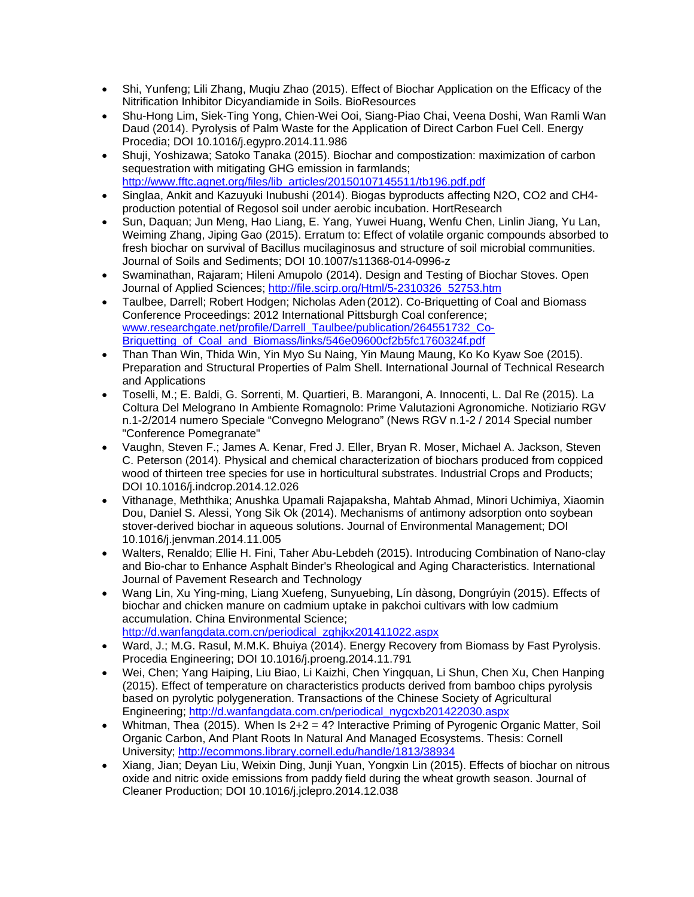- Shi, Yunfeng; Lili Zhang, Muqiu Zhao (2015). Effect of Biochar Application on the Efficacy of the Nitrification Inhibitor Dicyandiamide in Soils. BioResources
- Shu-Hong Lim, Siek-Ting Yong, Chien-Wei Ooi, Siang-Piao Chai, Veena Doshi, Wan Ramli Wan Daud (2014). Pyrolysis of Palm Waste for the Application of Direct Carbon Fuel Cell. Energy Procedia; DOI 10.1016/j.egypro.2014.11.986
- Shuji, Yoshizawa; Satoko Tanaka (2015). Biochar and compostization: maximization of carbon sequestration with mitigating GHG emission in farmlands; [http://www.fftc.agnet.org/files/lib\\_articles/20150107145511/tb196.pdf.pdf](http://www.fftc.agnet.org/files/lib_articles/20150107145511/tb196.pdf.pdf)
- Singlaa, Ankit and Kazuyuki Inubushi (2014). Biogas byproducts affecting N2O, CO2 and CH4 production potential of Regosol soil under aerobic incubation. HortResearch
- Sun, Daquan; Jun Meng, Hao Liang, E. Yang, Yuwei Huang, Wenfu Chen, Linlin Jiang, Yu Lan, Weiming Zhang, Jiping Gao (2015). Erratum to: Effect of volatile organic compounds absorbed to fresh biochar on survival of Bacillus mucilaginosus and structure of soil microbial communities. Journal of Soils and Sediments; DOI 10.1007/s11368-014-0996-z
- Swaminathan, Rajaram; Hileni Amupolo (2014). Design and Testing of Biochar Stoves. Open Journal of Applied Sciences; [http://file.scirp.org/Html/5-2310326\\_52753.htm](http://file.scirp.org/Html/5-2310326_52753.htm)
- Taulbee, Darrell; Robert Hodgen; Nicholas Aden(2012). Co-Briquetting of Coal and Biomass Conference Proceedings: 2012 International Pittsburgh Coal conference; [www.researchgate.net/profile/Darrell\\_Taulbee/publication/264551732\\_Co-](http://www.researchgate.net/profile/Darrell_Taulbee/publication/264551732_Co-Briquetting_of_Coal_and_Biomass/links/546e09600cf2b5fc1760324f.pdf)[Briquetting\\_of\\_Coal\\_and\\_Biomass/links/546e09600cf2b5fc1760324f.pdf](http://www.researchgate.net/profile/Darrell_Taulbee/publication/264551732_Co-Briquetting_of_Coal_and_Biomass/links/546e09600cf2b5fc1760324f.pdf)
- Than Than Win, Thida Win, Yin Myo Su Naing, Yin Maung Maung, Ko Ko Kyaw Soe (2015). Preparation and Structural Properties of Palm Shell. International Journal of Technical Research and Applications
- Toselli, M.; E. Baldi, G. Sorrenti, M. Quartieri, B. Marangoni, A. Innocenti, L. Dal Re (2015). La Coltura Del Melograno In Ambiente Romagnolo: Prime Valutazioni Agronomiche. Notiziario RGV n.1-2/2014 numero Speciale "Convegno Melograno" (News RGV n.1-2 / 2014 Special number "Conference Pomegranate"
- Vaughn, Steven F.; James A. Kenar, Fred J. Eller, Bryan R. Moser, Michael A. Jackson, Steven C. Peterson (2014). Physical and chemical characterization of biochars produced from coppiced wood of thirteen tree species for use in horticultural substrates. Industrial Crops and Products; DOI 10.1016/j.indcrop.2014.12.026
- Vithanage, Meththika; Anushka Upamali Rajapaksha, Mahtab Ahmad, Minori Uchimiya, Xiaomin Dou, Daniel S. Alessi, Yong Sik Ok (2014). Mechanisms of antimony adsorption onto soybean stover-derived biochar in aqueous solutions. Journal of Environmental Management; DOI 10.1016/j.jenvman.2014.11.005
- Walters, Renaldo; Ellie H. Fini, Taher Abu-Lebdeh (2015). Introducing Combination of Nano-clay and Bio-char to Enhance Asphalt Binder's Rheological and Aging Characteristics. International Journal of Pavement Research and Technology
- Wang Lin, Xu Ying-ming, Liang Xuefeng, Sunyuebing, Lín dàsong, Dongrúyin (2015). Effects of biochar and chicken manure on cadmium uptake in pakchoi cultivars with low cadmium accumulation. China Environmental Science; [http://d.wanfangdata.com.cn/periodical\\_zghjkx201411022.aspx](http://d.wanfangdata.com.cn/periodical_zghjkx201411022.aspx)
- Ward, J.; M.G. Rasul, M.M.K. Bhuiya (2014). Energy Recovery from Biomass by Fast Pyrolysis. Procedia Engineering; DOI 10.1016/j.proeng.2014.11.791
- Wei, Chen; Yang Haiping, Liu Biao, Li Kaizhi, Chen Yingquan, Li Shun, Chen Xu, Chen Hanping (2015). Effect of temperature on characteristics products derived from bamboo chips pyrolysis based on pyrolytic polygeneration. Transactions of the Chinese Society of Agricultural Engineering; [http://d.wanfangdata.com.cn/periodical\\_nygcxb201422030.aspx](http://d.wanfangdata.com.cn/periodical_nygcxb201422030.aspx)
- Whitman, Thea (2015). When Is 2+2 = 4? Interactive Priming of Pyrogenic Organic Matter, Soil Organic Carbon, And Plant Roots In Natural And Managed Ecosystems. Thesis: Cornell University;<http://ecommons.library.cornell.edu/handle/1813/38934>
- Xiang, Jian; Deyan Liu, Weixin Ding, Junji Yuan, Yongxin Lin (2015). Effects of biochar on nitrous oxide and nitric oxide emissions from paddy field during the wheat growth season. Journal of Cleaner Production; DOI 10.1016/j.jclepro.2014.12.038